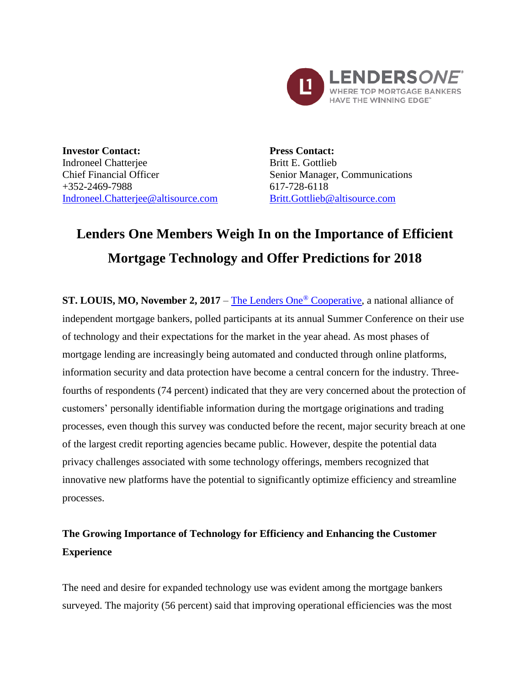

**Investor Contact:** Indroneel Chatterjee Chief Financial Officer +352-2469-7988 [Indroneel.Chatterjee@altisource.com](mailto:Indroneel.Chatterjee@altisource.com) **Press Contact:** Britt E. Gottlieb Senior Manager, Communications 617-728-6118 [Britt.Gottlieb@altisource.com](mailto:Britt.Gottlieb@altisource.com)

# **Lenders One Members Weigh In on the Importance of Efficient Mortgage Technology and Offer Predictions for 2018**

**ST. LOUIS, MO, November 2, 2017** – [The Lenders One](http://lendersone.com/?utm_campaign=L1SummerConferenceSurvey2017&utm_source=PR&utm_medium=PR&utm_content=first)® Cooperative, a national alliance of independent mortgage bankers, polled participants at its annual Summer Conference on their use of technology and their expectations for the market in the year ahead. As most phases of mortgage lending are increasingly being automated and conducted through online platforms, information security and data protection have become a central concern for the industry. Threefourths of respondents (74 percent) indicated that they are very concerned about the protection of customers' personally identifiable information during the mortgage originations and trading processes, even though this survey was conducted before the recent, major security breach at one of the largest credit reporting agencies became public. However, despite the potential data privacy challenges associated with some technology offerings, members recognized that innovative new platforms have the potential to significantly optimize efficiency and streamline processes.

# **The Growing Importance of Technology for Efficiency and Enhancing the Customer Experience**

The need and desire for expanded technology use was evident among the mortgage bankers surveyed. The majority (56 percent) said that improving operational efficiencies was the most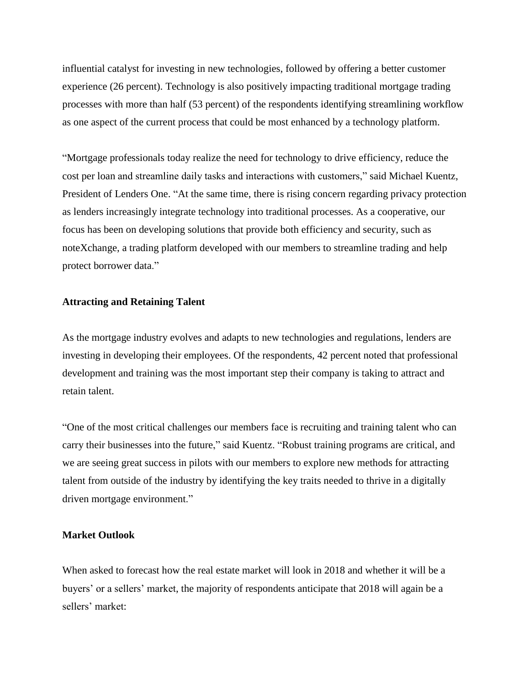influential catalyst for investing in new technologies, followed by offering a better customer experience (26 percent). Technology is also positively impacting traditional mortgage trading processes with more than half (53 percent) of the respondents identifying streamlining workflow as one aspect of the current process that could be most enhanced by a technology platform.

"Mortgage professionals today realize the need for technology to drive efficiency, reduce the cost per loan and streamline daily tasks and interactions with customers," said Michael Kuentz, President of Lenders One. "At the same time, there is rising concern regarding privacy protection as lenders increasingly integrate technology into traditional processes. As a cooperative, our focus has been on developing solutions that provide both efficiency and security, such as noteXchange, a trading platform developed with our members to streamline trading and help protect borrower data."

#### **Attracting and Retaining Talent**

As the mortgage industry evolves and adapts to new technologies and regulations, lenders are investing in developing their employees. Of the respondents, 42 percent noted that professional development and training was the most important step their company is taking to attract and retain talent.

"One of the most critical challenges our members face is recruiting and training talent who can carry their businesses into the future," said Kuentz. "Robust training programs are critical, and we are seeing great success in pilots with our members to explore new methods for attracting talent from outside of the industry by identifying the key traits needed to thrive in a digitally driven mortgage environment."

#### **Market Outlook**

When asked to forecast how the real estate market will look in 2018 and whether it will be a buyers' or a sellers' market, the majority of respondents anticipate that 2018 will again be a sellers' market: